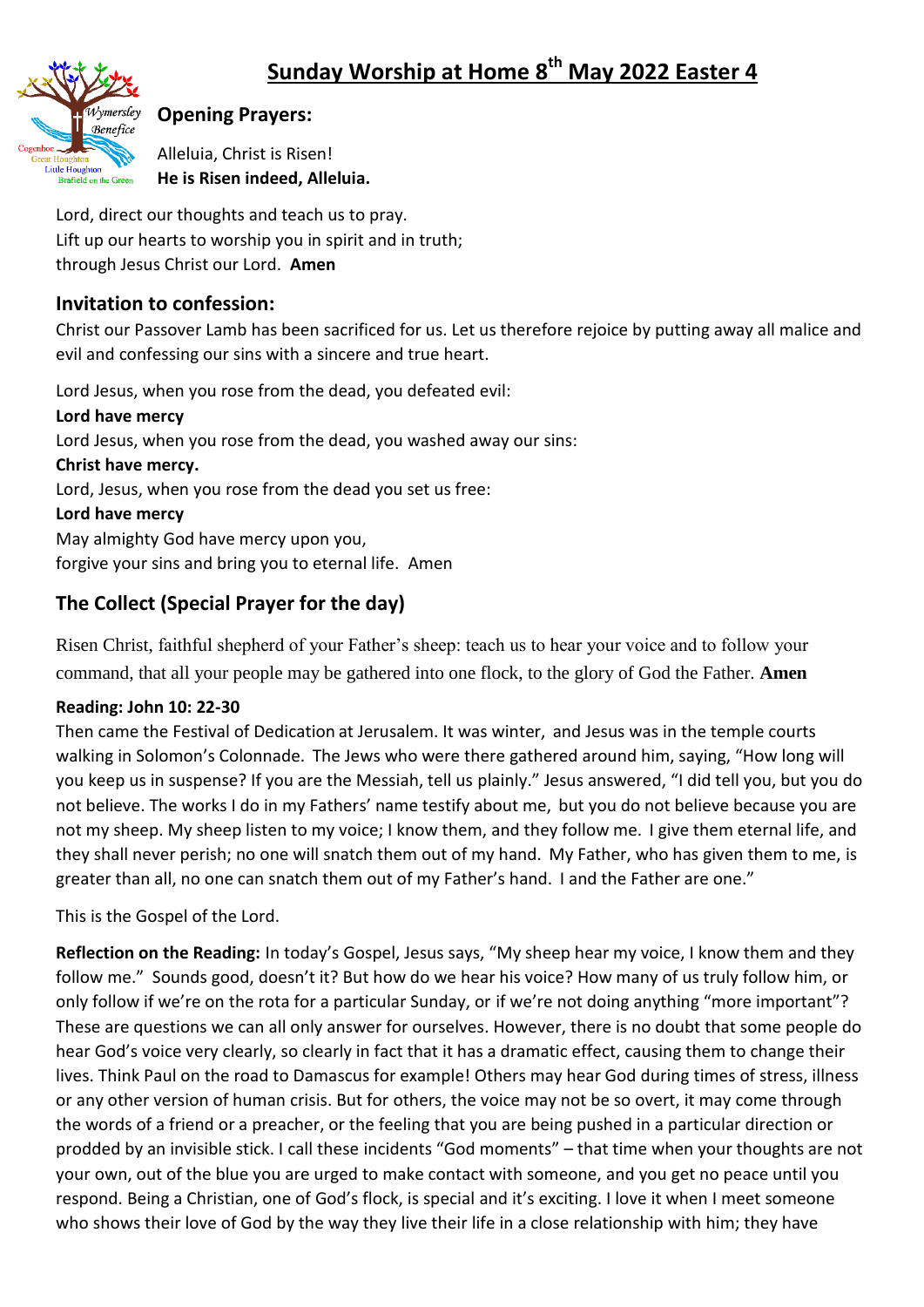

## **Opening Prayers:**

Alleluia, Christ is Risen! **He is Risen indeed, Alleluia.**

Lord, direct our thoughts and teach us to pray. Lift up our hearts to worship you in spirit and in truth; through Jesus Christ our Lord. **Amen**

### **Invitation to confession:**

Christ our Passover Lamb has been sacrificed for us. Let us therefore rejoice by putting away all malice and evil and confessing our sins with a sincere and true heart.

Lord Jesus, when you rose from the dead, you defeated evil: **Lord have mercy**  Lord Jesus, when you rose from the dead, you washed away our sins: **Christ have mercy.**  Lord, Jesus, when you rose from the dead you set us free: **Lord have mercy**  May almighty God have mercy upon you, forgive your sins and bring you to eternal life. Amen

# **The Collect (Special Prayer for the day)**

Risen Christ, faithful shepherd of your Father's sheep: teach us to hear your voice and to follow your command, that all your people may be gathered into one flock, to the glory of God the Father. **Amen**

### **Reading: John 10: 22-30**

Then came the Festival of Dedication at Jerusalem. It was winter, and Jesus was in the temple courts walking in Solomon's Colonnade. The Jews who were there gathered around him, saying, "How long will you keep us in suspense? If you are the Messiah, tell us plainly." Jesus answered, "I did tell you, but you do not believe. The works I do in my Fathers' name testify about me, but you do not believe because you are not my sheep. My sheep listen to my voice; I know them, and they follow me. I give them eternal life, and they shall never perish; no one will snatch them out of my hand. My Father, who has given them to me, is greater than all, no one can snatch them out of my Father's hand. I and the Father are one."

This is the Gospel of the Lord.

**Reflection on the Reading:** In today's Gospel, Jesus says, "My sheep hear my voice, I know them and they follow me." Sounds good, doesn't it? But how do we hear his voice? How many of us truly follow him, or only follow if we're on the rota for a particular Sunday, or if we're not doing anything "more important"? These are questions we can all only answer for ourselves. However, there is no doubt that some people do hear God's voice very clearly, so clearly in fact that it has a dramatic effect, causing them to change their lives. Think Paul on the road to Damascus for example! Others may hear God during times of stress, illness or any other version of human crisis. But for others, the voice may not be so overt, it may come through the words of a friend or a preacher, or the feeling that you are being pushed in a particular direction or prodded by an invisible stick. I call these incidents "God moments" – that time when your thoughts are not your own, out of the blue you are urged to make contact with someone, and you get no peace until you respond. Being a Christian, one of God's flock, is special and it's exciting. I love it when I meet someone who shows their love of God by the way they live their life in a close relationship with him; they have